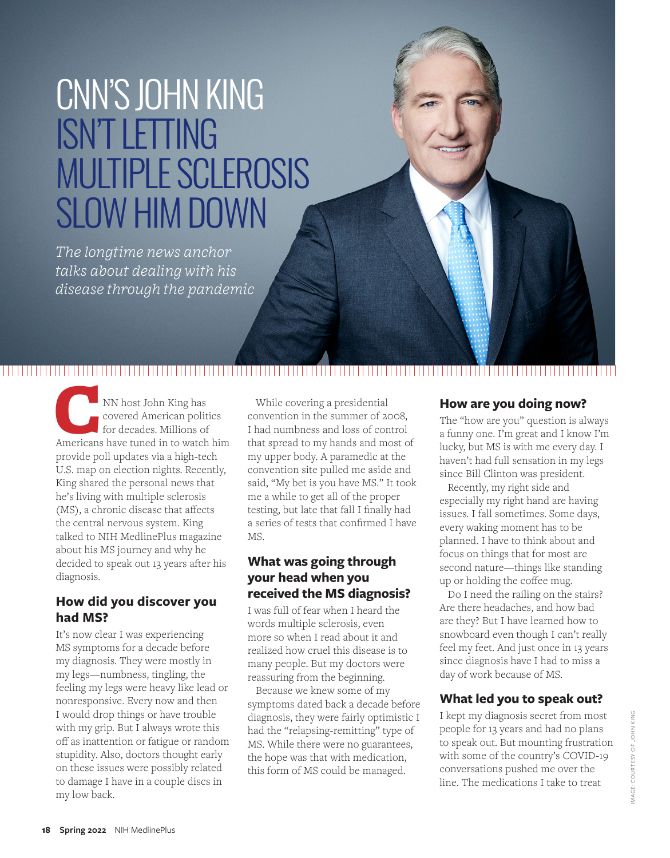# CNN'S JOHN KING ISN'T LETTING MULTIPLE SCLEROSIS SLOW HIM DOWN

*The longtime news anchor talks about dealing with his disease through the pandemic*

NN host John King has<br>
covered American politics<br>
for decades. Millions of<br>
Americans have tuned in to watch him covered American politics for decades. Millions of provide poll updates via a high-tech U.S. map on election nights. Recently, King shared the personal news that he's living with multiple sclerosis (MS), a chronic disease that affects the central nervous system. King talked to NIH MedlinePlus magazine about his MS journey and why he decided to speak out 13 years after his diagnosis.

#### **How did you discover you had MS?**

It's now clear I was experiencing MS symptoms for a decade before my diagnosis. They were mostly in my legs—numbness, tingling, the feeling my legs were heavy like lead or nonresponsive. Every now and then I would drop things or have trouble with my grip. But I always wrote this off as inattention or fatigue or random stupidity. Also, doctors thought early on these issues were possibly related to damage I have in a couple discs in my low back.

While covering a presidential convention in the summer of 2008, I had numbness and loss of control that spread to my hands and most of my upper body. A paramedic at the convention site pulled me aside and said, "My bet is you have MS." It took me a while to get all of the proper testing, but late that fall I finally had a series of tests that confirmed I have MS.

#### **What was going through your head when you received the MS diagnosis?**

I was full of fear when I heard the words multiple sclerosis, even more so when I read about it and realized how cruel this disease is to many people. But my doctors were reassuring from the beginning.

Because we knew some of my symptoms dated back a decade before diagnosis, they were fairly optimistic I had the "relapsing-remitting" type of MS. While there were no guarantees, the hope was that with medication, this form of MS could be managed.

#### **How are you doing now?**

The "how are you" question is always a funny one. I'm great and I know I'm lucky, but MS is with me every day. I haven't had full sensation in my legs since Bill Clinton was president.

Recently, my right side and especially my right hand are having issues. I fall sometimes. Some days, every waking moment has to be planned. I have to think about and focus on things that for most are second nature—things like standing up or holding the coffee mug.

Do I need the railing on the stairs? Are there headaches, and how bad are they? But I have learned how to snowboard even though I can't really feel my feet. And just once in 13 years since diagnosis have I had to miss a day of work because of MS.

#### **What led you to speak out?**

I kept my diagnosis secret from most people for 13 years and had no plans to speak out. But mounting frustration with some of the country's COVID-19 conversations pushed me over the line. The medications I take to treat